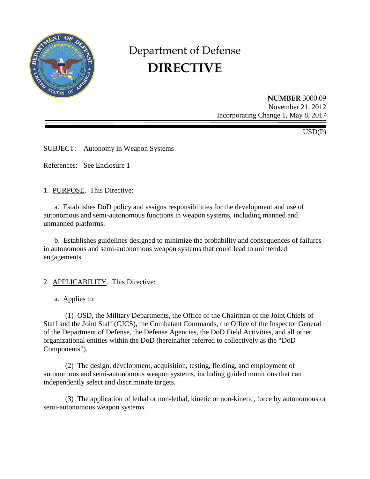

# Department of Defense **DIRECTIVE**

**NUMBER** 3000.09 November 21, 2012 Incorporating Change 1, May 8, 2017

USD(P)

SUBJECT: Autonomy in Weapon Systems

References: See Enclosure 1

1. PURPOSE. This Directive:

a. Establishes DoD policy and assigns responsibilities for the development and use of autonomous and semi-autonomous functions in weapon systems, including manned and unmanned platforms.

 b. Establishes guidelines designed to minimize the probability and consequences of failures in autonomous and semi-autonomous weapon systems that could lead to unintended engagements.

2. APPLICABILITY. This Directive:

a. Applies to:

(1) OSD, the Military Departments, the Office of the Chairman of the Joint Chiefs of Staff and the Joint Staff (CJCS), the Combatant Commands, the Office of the Inspector General of the Department of Defense, the Defense Agencies, the DoD Field Activities, and all other organizational entities within the DoD (hereinafter referred to collectively as the "DoD Components").

(2) The design, development, acquisition, testing, fielding, and employment of autonomous and semi-autonomous weapon systems, including guided munitions that can independently select and discriminate targets.

(3) The application of lethal or non-lethal, kinetic or non-kinetic, force by autonomous or semi-autonomous weapon systems.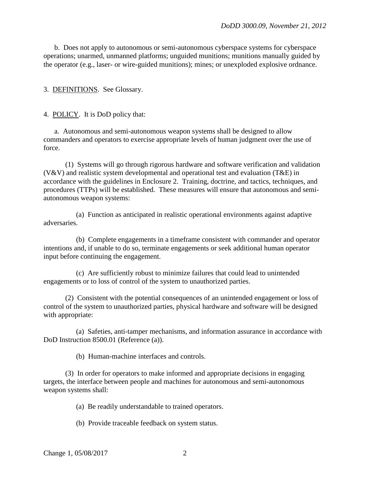b. Does not apply to autonomous or semi-autonomous cyberspace systems for cyberspace operations; unarmed, unmanned platforms; unguided munitions; munitions manually guided by the operator (e.g., laser- or wire-guided munitions); mines; or unexploded explosive ordnance.

3. DEFINITIONS. See Glossary.

4. POLICY. It is DoD policy that:

a. Autonomous and semi-autonomous weapon systems shall be designed to allow commanders and operators to exercise appropriate levels of human judgment over the use of force.

(1) Systems will go through rigorous hardware and software verification and validation (V&V) and realistic system developmental and operational test and evaluation (T&E) in accordance with the guidelines in Enclosure 2. Training, doctrine, and tactics, techniques, and procedures (TTPs) will be established. These measures will ensure that autonomous and semiautonomous weapon systems:

(a) Function as anticipated in realistic operational environments against adaptive adversaries.

(b) Complete engagements in a timeframe consistent with commander and operator intentions and, if unable to do so, terminate engagements or seek additional human operator input before continuing the engagement.

(c) Are sufficiently robust to minimize failures that could lead to unintended engagements or to loss of control of the system to unauthorized parties.

(2) Consistent with the potential consequences of an unintended engagement or loss of control of the system to unauthorized parties, physical hardware and software will be designed with appropriate:

(a) Safeties, anti-tamper mechanisms, and information assurance in accordance with DoD Instruction 8500.01 (Reference (a)).

(b) Human-machine interfaces and controls.

(3) In order for operators to make informed and appropriate decisions in engaging targets, the interface between people and machines for autonomous and semi-autonomous weapon systems shall:

(a) Be readily understandable to trained operators.

(b) Provide traceable feedback on system status.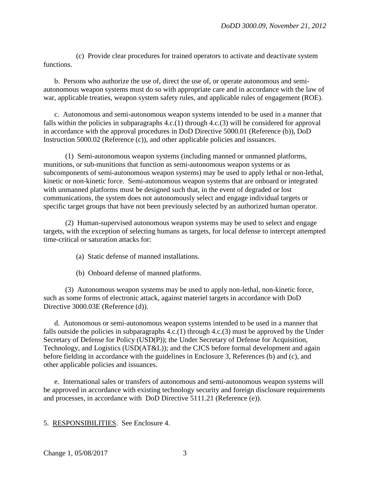(c) Provide clear procedures for trained operators to activate and deactivate system functions.

b. Persons who authorize the use of, direct the use of, or operate autonomous and semiautonomous weapon systems must do so with appropriate care and in accordance with the law of war, applicable treaties, weapon system safety rules, and applicable rules of engagement (ROE).

c. Autonomous and semi-autonomous weapon systems intended to be used in a manner that falls within the policies in subparagraphs  $4.c.(1)$  through  $4.c.(3)$  will be considered for approval in accordance with the approval procedures in DoD Directive 5000.01 (Reference (b)), DoD Instruction 5000.02 (Reference (c)), and other applicable policies and issuances.

(1) Semi-autonomous weapon systems (including manned or unmanned platforms, munitions, or sub-munitions that function as semi-autonomous weapon systems or as subcomponents of semi-autonomous weapon systems) may be used to apply lethal or non-lethal, kinetic or non-kinetic force. Semi-autonomous weapon systems that are onboard or integrated with unmanned platforms must be designed such that, in the event of degraded or lost communications, the system does not autonomously select and engage individual targets or specific target groups that have not been previously selected by an authorized human operator.

(2) Human-supervised autonomous weapon systems may be used to select and engage targets, with the exception of selecting humans as targets, for local defense to intercept attempted time-critical or saturation attacks for:

- (a) Static defense of manned installations.
- (b) Onboard defense of manned platforms.

(3) Autonomous weapon systems may be used to apply non-lethal, non-kinetic force, such as some forms of electronic attack, against materiel targets in accordance with DoD Directive 3000.03E (Reference (d)).

d. Autonomous or semi-autonomous weapon systems intended to be used in a manner that falls outside the policies in subparagraphs  $4.c.(1)$  through  $4.c.(3)$  must be approved by the Under Secretary of Defense for Policy (USD(P)); the Under Secretary of Defense for Acquisition, Technology, and Logistics (USD(AT&L)); and the CJCS before formal development and again before fielding in accordance with the guidelines in Enclosure 3, References (b) and (c), and other applicable policies and issuances.

e. International sales or transfers of autonomous and semi-autonomous weapon systems will be approved in accordance with existing technology security and foreign disclosure requirements and processes, in accordance with DoD Directive 5111.21 (Reference (e)).

5. RESPONSIBILITIES. See Enclosure 4.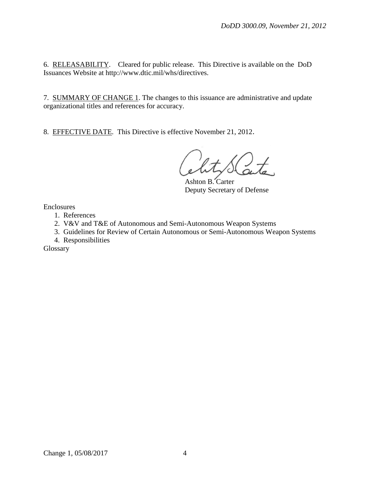6. RELEASABILITY. Cleared for public release. This Directive is available on the DoD Issuances Website at http://www.dtic.mil/whs/directives.

7. SUMMARY OF CHANGE 1. The changes to this issuance are administrative and update organizational titles and references for accuracy.

8. EFFECTIVE DATE. This Directive is effective November 21, 2012.

Ashton B. Carter Deputy Secretary of Defense

Enclosures

- 1. References
- 2. V&V and T&E of Autonomous and Semi-Autonomous Weapon Systems
- 3. Guidelines for Review of Certain Autonomous or Semi-Autonomous Weapon Systems 4. Responsibilities

Glossary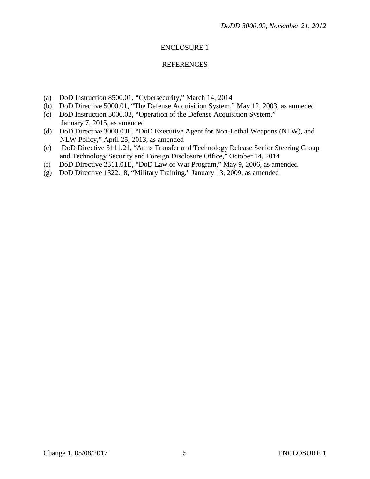# REFERENCES

- (a) DoD Instruction 8500.01, "Cybersecurity," March 14, 2014
- (b) DoD Directive 5000.01, "The Defense Acquisition System," May 12, 2003, as amneded
- (c) DoD Instruction 5000.02, "Operation of the Defense Acquisition System," January 7, 2015, as amended
- (d) DoD Directive 3000.03E, "DoD Executive Agent for Non-Lethal Weapons (NLW), and NLW Policy," April 25, 2013, as amended
- (e) DoD Directive 5111.21, "Arms Transfer and Technology Release Senior Steering Group and Technology Security and Foreign Disclosure Office," October 14, 2014
- (f) DoD Directive 2311.01E, "DoD Law of War Program," May 9, 2006, as amended
- (g) DoD Directive 1322.18, "Military Training," January 13, 2009, as amended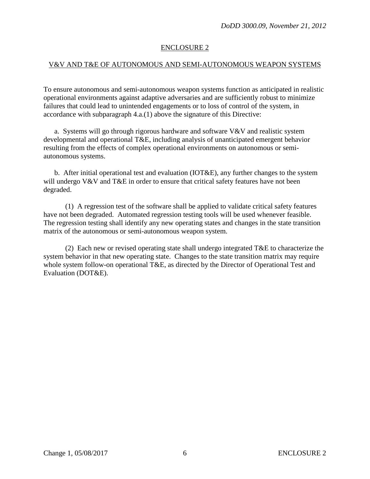# V&V AND T&E OF AUTONOMOUS AND SEMI-AUTONOMOUS WEAPON SYSTEMS

To ensure autonomous and semi-autonomous weapon systems function as anticipated in realistic operational environments against adaptive adversaries and are sufficiently robust to minimize failures that could lead to unintended engagements or to loss of control of the system, in accordance with subparagraph 4.a.(1) above the signature of this Directive:

a. Systems will go through rigorous hardware and software V&V and realistic system developmental and operational T&E, including analysis of unanticipated emergent behavior resulting from the effects of complex operational environments on autonomous or semiautonomous systems.

b. After initial operational test and evaluation (IOT&E), any further changes to the system will undergo V&V and T&E in order to ensure that critical safety features have not been degraded.

(1) A regression test of the software shall be applied to validate critical safety features have not been degraded. Automated regression testing tools will be used whenever feasible. The regression testing shall identify any new operating states and changes in the state transition matrix of the autonomous or semi-autonomous weapon system.

(2) Each new or revised operating state shall undergo integrated T&E to characterize the system behavior in that new operating state. Changes to the state transition matrix may require whole system follow-on operational T&E, as directed by the Director of Operational Test and Evaluation (DOT&E).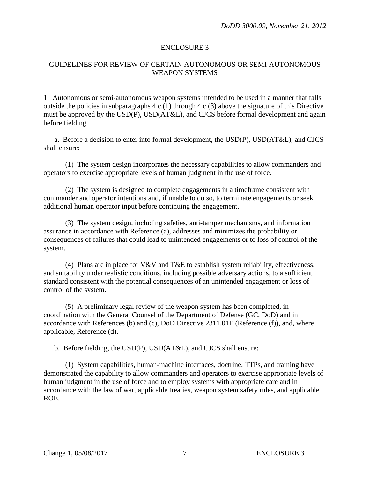# GUIDELINES FOR REVIEW OF CERTAIN AUTONOMOUS OR SEMI-AUTONOMOUS WEAPON SYSTEMS

1. Autonomous or semi-autonomous weapon systems intended to be used in a manner that falls outside the policies in subparagraphs 4.c.(1) through 4.c.(3) above the signature of this Directive must be approved by the USD(P), USD(AT&L), and CJCS before formal development and again before fielding.

a. Before a decision to enter into formal development, the USD(P), USD(AT&L), and CJCS shall ensure:

(1) The system design incorporates the necessary capabilities to allow commanders and operators to exercise appropriate levels of human judgment in the use of force.

(2) The system is designed to complete engagements in a timeframe consistent with commander and operator intentions and, if unable to do so, to terminate engagements or seek additional human operator input before continuing the engagement.

(3) The system design, including safeties, anti-tamper mechanisms, and information assurance in accordance with Reference (a), addresses and minimizes the probability or consequences of failures that could lead to unintended engagements or to loss of control of the system.

(4) Plans are in place for V&V and T&E to establish system reliability, effectiveness, and suitability under realistic conditions, including possible adversary actions, to a sufficient standard consistent with the potential consequences of an unintended engagement or loss of control of the system.

(5) A preliminary legal review of the weapon system has been completed, in coordination with the General Counsel of the Department of Defense (GC, DoD) and in accordance with References (b) and (c), DoD Directive 2311.01E (Reference (f)), and, where applicable, Reference (d).

b. Before fielding, the USD(P), USD(AT&L), and CJCS shall ensure:

(1) System capabilities, human-machine interfaces, doctrine, TTPs, and training have demonstrated the capability to allow commanders and operators to exercise appropriate levels of human judgment in the use of force and to employ systems with appropriate care and in accordance with the law of war, applicable treaties, weapon system safety rules, and applicable ROE.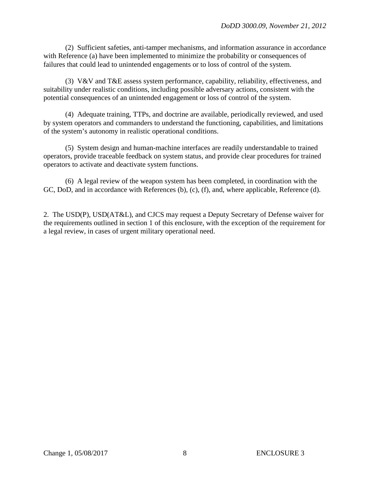(2) Sufficient safeties, anti-tamper mechanisms, and information assurance in accordance with Reference (a) have been implemented to minimize the probability or consequences of failures that could lead to unintended engagements or to loss of control of the system.

(3) V&V and T&E assess system performance, capability, reliability, effectiveness, and suitability under realistic conditions, including possible adversary actions, consistent with the potential consequences of an unintended engagement or loss of control of the system.

(4) Adequate training, TTPs, and doctrine are available, periodically reviewed, and used by system operators and commanders to understand the functioning, capabilities, and limitations of the system's autonomy in realistic operational conditions.

(5) System design and human-machine interfaces are readily understandable to trained operators, provide traceable feedback on system status, and provide clear procedures for trained operators to activate and deactivate system functions.

(6) A legal review of the weapon system has been completed, in coordination with the GC, DoD, and in accordance with References (b), (c), (f), and, where applicable, Reference (d).

2. The USD(P), USD(AT&L), and CJCS may request a Deputy Secretary of Defense waiver for the requirements outlined in section 1 of this enclosure, with the exception of the requirement for a legal review, in cases of urgent military operational need.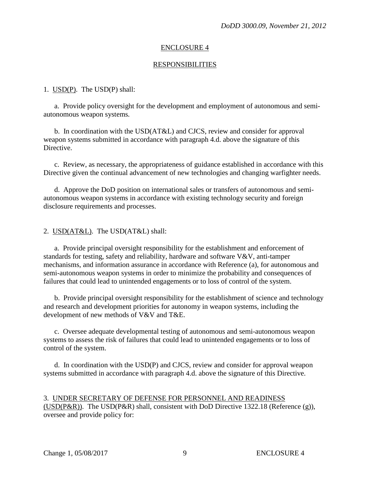#### **RESPONSIBILITIES**

#### 1. USD(P). The USD(P) shall:

a. Provide policy oversight for the development and employment of autonomous and semiautonomous weapon systems*.* 

b. In coordination with the USD(AT&L) and CJCS, review and consider for approval weapon systems submitted in accordance with paragraph 4.d. above the signature of this Directive.

c. Review, as necessary, the appropriateness of guidance established in accordance with this Directive given the continual advancement of new technologies and changing warfighter needs.

d. Approve the DoD position on international sales or transfers of autonomous and semiautonomous weapon systems in accordance with existing technology security and foreign disclosure requirements and processes.

# 2. USD(AT&L). The USD(AT&L) shall:

a. Provide principal oversight responsibility for the establishment and enforcement of standards for testing, safety and reliability, hardware and software V&V, anti-tamper mechanisms, and information assurance in accordance with Reference (a), for autonomous and semi-autonomous weapon systems in order to minimize the probability and consequences of failures that could lead to unintended engagements or to loss of control of the system.

b. Provide principal oversight responsibility for the establishment of science and technology and research and development priorities for autonomy in weapon systems, including the development of new methods of V&V and T&E.

c. Oversee adequate developmental testing of autonomous and semi-autonomous weapon systems to assess the risk of failures that could lead to unintended engagements or to loss of control of the system.

d. In coordination with the USD(P) and CJCS, review and consider for approval weapon systems submitted in accordance with paragraph 4.d. above the signature of this Directive.

3. UNDER SECRETARY OF DEFENSE FOR PERSONNEL AND READINESS (USD(P&R)). The USD(P&R) shall, consistent with DoD Directive 1322.18 (Reference (g)), oversee and provide policy for: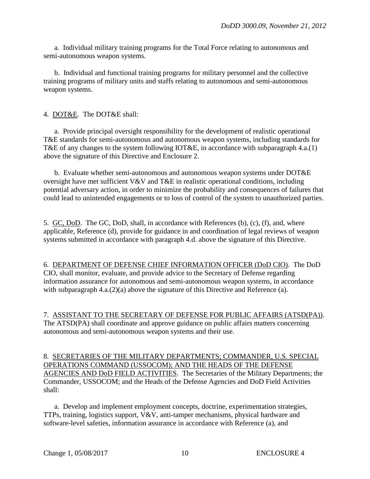a. Individual military training programs for the Total Force relating to autonomous and semi-autonomous weapon systems.

b. Individual and functional training programs for military personnel and the collective training programs of military units and staffs relating to autonomous and semi-autonomous weapon systems.

# 4. DOT&E. The DOT&E shall:

a. Provide principal oversight responsibility for the development of realistic operational T&E standards for semi-autonomous and autonomous weapon systems, including standards for T&E of any changes to the system following IOT&E, in accordance with subparagraph 4.a.(1) above the signature of this Directive and Enclosure 2.

b. Evaluate whether semi-autonomous and autonomous weapon systems under DOT&E oversight have met sufficient V&V and T&E in realistic operational conditions, including potential adversary action, in order to minimize the probability and consequences of failures that could lead to unintended engagements or to loss of control of the system to unauthorized parties.

5. GC, DoD. The GC, DoD, shall, in accordance with References (b), (c), (f), and, where applicable, Reference (d), provide for guidance in and coordination of legal reviews of weapon systems submitted in accordance with paragraph 4.d. above the signature of this Directive.

6. DEPARTMENT OF DEFENSE CHIEF INFORMATION OFFICER (DoD CIO). The DoD CIO, shall monitor, evaluate, and provide advice to the Secretary of Defense regarding information assurance for autonomous and semi-autonomous weapon systems, in accordance with subparagraph 4.a.(2)(a) above the signature of this Directive and Reference (a).

7. ASSISTANT TO THE SECRETARY OF DEFENSE FOR PUBLIC AFFAIRS (ATSD(PA)). The ATSD(PA) shall coordinate and approve guidance on public affairs matters concerning autonomous and semi-autonomous weapon systems and their use.

8. SECRETARIES OF THE MILITARY DEPARTMENTS; COMMANDER, U.S. SPECIAL OPERATIONS COMMAND (USSOCOM); AND THE HEADS OF THE DEFENSE AGENCIES AND DoD FIELD ACTIVITIES. The Secretaries of the Military Departments; the Commander, USSOCOM; and the Heads of the Defense Agencies and DoD Field Activities shall:

a. Develop and implement employment concepts, doctrine, experimentation strategies, TTPs, training, logistics support, V&V, anti-tamper mechanisms, physical hardware and software-level safeties, information assurance in accordance with Reference (a), and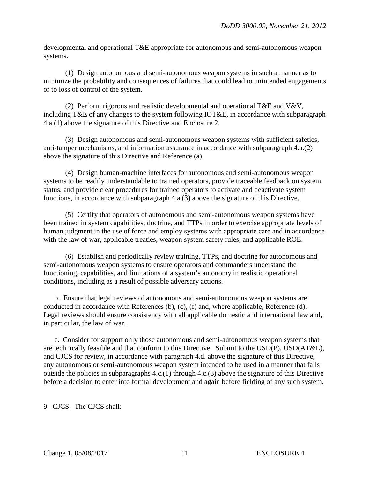developmental and operational T&E appropriate for autonomous and semi-autonomous weapon systems.

(1) Design autonomous and semi-autonomous weapon systems in such a manner as to minimize the probability and consequences of failures that could lead to unintended engagements or to loss of control of the system.

(2) Perform rigorous and realistic developmental and operational T&E and V&V, including T&E of any changes to the system following IOT&E, in accordance with subparagraph 4.a.(1) above the signature of this Directive and Enclosure 2.

(3) Design autonomous and semi-autonomous weapon systems with sufficient safeties, anti-tamper mechanisms, and information assurance in accordance with subparagraph 4.a.(2) above the signature of this Directive and Reference (a).

(4) Design human-machine interfaces for autonomous and semi-autonomous weapon systems to be readily understandable to trained operators, provide traceable feedback on system status, and provide clear procedures for trained operators to activate and deactivate system functions, in accordance with subparagraph 4.a.(3) above the signature of this Directive.

(5) Certify that operators of autonomous and semi-autonomous weapon systems have been trained in system capabilities, doctrine, and TTPs in order to exercise appropriate levels of human judgment in the use of force and employ systems with appropriate care and in accordance with the law of war, applicable treaties, weapon system safety rules, and applicable ROE.

(6) Establish and periodically review training, TTPs, and doctrine for autonomous and semi-autonomous weapon systems to ensure operators and commanders understand the functioning, capabilities, and limitations of a system's autonomy in realistic operational conditions, including as a result of possible adversary actions.

b. Ensure that legal reviews of autonomous and semi-autonomous weapon systems are conducted in accordance with References (b), (c), (f) and, where applicable, Reference (d). Legal reviews should ensure consistency with all applicable domestic and international law and, in particular, the law of war.

c. Consider for support only those autonomous and semi-autonomous weapon systems that are technically feasible and that conform to this Directive. Submit to the USD(P), USD(AT&L), and CJCS for review, in accordance with paragraph 4.d. above the signature of this Directive, any autonomous or semi-autonomous weapon system intended to be used in a manner that falls outside the policies in subparagraphs 4.c.(1) through 4.c.(3) above the signature of this Directive before a decision to enter into formal development and again before fielding of any such system.

9. CJCS. The CJCS shall: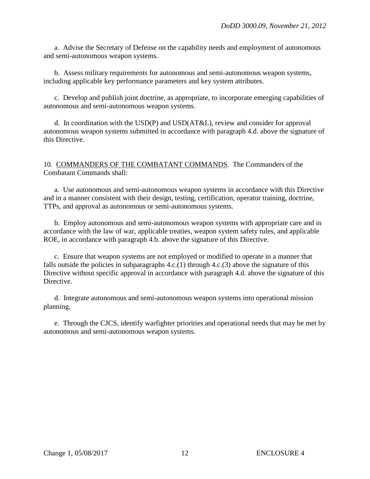a. Advise the Secretary of Defense on the capability needs and employment of autonomous and semi-autonomous weapon systems.

b. Assess military requirements for autonomous and semi-autonomous weapon systems, including applicable key performance parameters and key system attributes.

c. Develop and publish joint doctrine, as appropriate, to incorporate emerging capabilities of autonomous and semi-autonomous weapon systems.

d. In coordination with the USD(P) and USD(AT&L), review and consider for approval autonomous weapon systems submitted in accordance with paragraph 4.d. above the signature of this Directive.

## 10. COMMANDERS OF THE COMBATANT COMMANDS. The Commanders of the Combatant Commands shall:

a. Use autonomous and semi-autonomous weapon systems in accordance with this Directive and in a manner consistent with their design, testing, certification, operator training, doctrine, TTPs, and approval as autonomous or semi-autonomous systems.

b. Employ autonomous and semi-autonomous weapon systems with appropriate care and in accordance with the law of war, applicable treaties, weapon system safety rules, and applicable ROE, in accordance with paragraph 4.b. above the signature of this Directive.

c. Ensure that weapon systems are not employed or modified to operate in a manner that falls outside the policies in subparagraphs  $4.c.(1)$  through  $4.c.(3)$  above the signature of this Directive without specific approval in accordance with paragraph 4.d. above the signature of this Directive.

d. Integrate autonomous and semi-autonomous weapon systems into operational mission planning.

e. Through the CJCS, identify warfighter priorities and operational needs that may be met by autonomous and semi-autonomous weapon systems.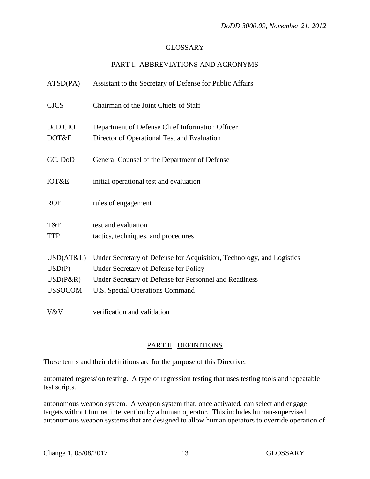## GLOSSARY

# PART I. ABBREVIATIONS AND ACRONYMS

| ATSD(PA)                                             | Assistant to the Secretary of Defense for Public Affairs                                                                                                                                                    |
|------------------------------------------------------|-------------------------------------------------------------------------------------------------------------------------------------------------------------------------------------------------------------|
| <b>CJCS</b>                                          | Chairman of the Joint Chiefs of Staff                                                                                                                                                                       |
| DoD CIO<br>DOT&E                                     | Department of Defense Chief Information Officer<br>Director of Operational Test and Evaluation                                                                                                              |
| GC, DoD                                              | General Counsel of the Department of Defense                                                                                                                                                                |
| IOT&E                                                | initial operational test and evaluation                                                                                                                                                                     |
| <b>ROE</b>                                           | rules of engagement                                                                                                                                                                                         |
| T&E<br><b>TTP</b>                                    | test and evaluation<br>tactics, techniques, and procedures                                                                                                                                                  |
| USD(AT&L)<br>USD(P)<br>$USD(P\&R)$<br><b>USSOCOM</b> | Under Secretary of Defense for Acquisition, Technology, and Logistics<br>Under Secretary of Defense for Policy<br>Under Secretary of Defense for Personnel and Readiness<br>U.S. Special Operations Command |
| V&V                                                  | verification and validation                                                                                                                                                                                 |

# PART II. DEFINITIONS

These terms and their definitions are for the purpose of this Directive.

automated regression testing. A type of regression testing that uses testing tools and repeatable test scripts.

autonomous weapon system. A weapon system that, once activated, can select and engage targets without further intervention by a human operator. This includes human-supervised autonomous weapon systems that are designed to allow human operators to override operation of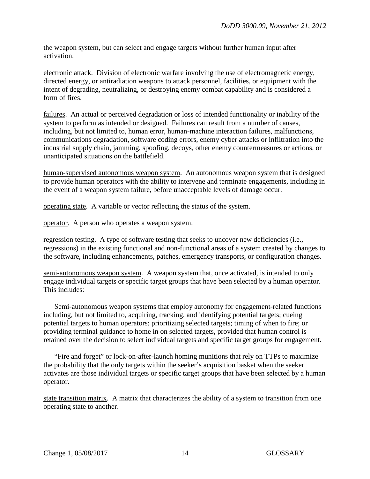the weapon system, but can select and engage targets without further human input after activation.

electronic attack. Division of electronic warfare involving the use of electromagnetic energy, directed energy, or antiradiation weapons to attack personnel, facilities, or equipment with the intent of degrading, neutralizing, or destroying enemy combat capability and is considered a form of fires.

failures. An actual or perceived degradation or loss of intended functionality or inability of the system to perform as intended or designed. Failures can result from a number of causes, including, but not limited to, human error, human-machine interaction failures, malfunctions, communications degradation, software coding errors, enemy cyber attacks or infiltration into the industrial supply chain, jamming, spoofing, decoys, other enemy countermeasures or actions, or unanticipated situations on the battlefield.

human-supervised autonomous weapon system. An autonomous weapon system that is designed to provide human operators with the ability to intervene and terminate engagements, including in the event of a weapon system failure, before unacceptable levels of damage occur.

operating state. A variable or vector reflecting the status of the system.

operator. A person who operates a weapon system.

regression testing. A type of software testing that seeks to uncover new deficiencies (i.e., regressions) in the existing functional and non-functional areas of a system created by changes to the software, including enhancements, patches, emergency transports, or configuration changes.

semi-autonomous weapon system. A weapon system that, once activated, is intended to only engage individual targets or specific target groups that have been selected by a human operator. This includes:

Semi-autonomous weapon systems that employ autonomy for engagement-related functions including, but not limited to, acquiring, tracking, and identifying potential targets; cueing potential targets to human operators; prioritizing selected targets; timing of when to fire; or providing terminal guidance to home in on selected targets, provided that human control is retained over the decision to select individual targets and specific target groups for engagement.

"Fire and forget" or lock-on-after-launch homing munitions that rely on TTPs to maximize the probability that the only targets within the seeker's acquisition basket when the seeker activates are those individual targets or specific target groups that have been selected by a human operator.

state transition matrix. A matrix that characterizes the ability of a system to transition from one operating state to another.